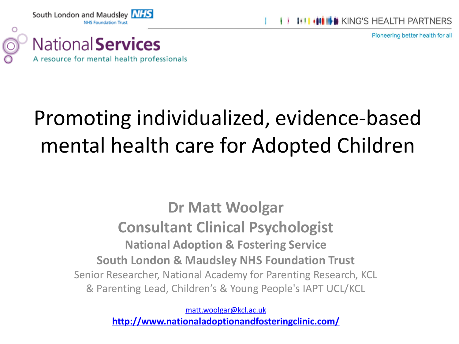

Pioneering better health for all



South London and Maudsley NHS

#### Promoting individualized, evidence-based mental health care for Adopted Children

**Dr Matt Woolgar Consultant Clinical Psychologist National Adoption & Fostering Service South London & Maudsley NHS Foundation Trust** Senior Researcher, National Academy for Parenting Research, KCL & Parenting Lead, Children's & Young People's IAPT UCL/KCL

> [matt.woolgar@kcl.ac.uk](mailto:matt.woolgar@kcl.ac.uk) **<http://www.nationaladoptionandfosteringclinic.com/>**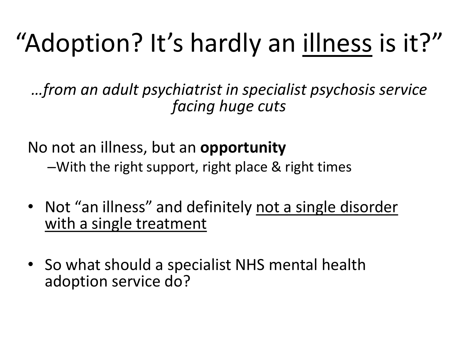# "Adoption? It's hardly an illness is it?"

*…from an adult psychiatrist in specialist psychosis service facing huge cuts*

No not an illness, but an **opportunity** –With the right support, right place & right times

- Not "an illness" and definitely not a single disorder with a single treatment
- So what should a specialist NHS mental health adoption service do?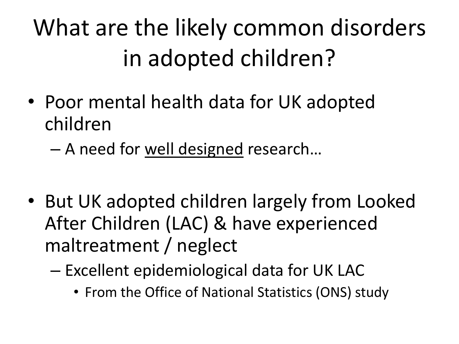## What are the likely common disorders in adopted children?

- Poor mental health data for UK adopted children
	- A need for well designed research…
- But UK adopted children largely from Looked After Children (LAC) & have experienced maltreatment / neglect
	- Excellent epidemiological data for UK LAC
		- From the Office of National Statistics (ONS) study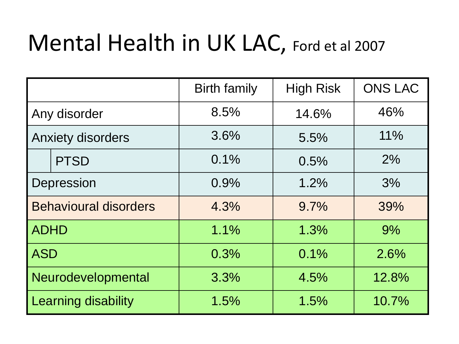#### Mental Health in UK LAC, Ford et al 2007

|                              |             | <b>Birth family</b> | <b>High Risk</b> | <b>ONS LAC</b> |
|------------------------------|-------------|---------------------|------------------|----------------|
| Any disorder                 |             | 8.5%                | 14.6%            | 46%            |
| <b>Anxiety disorders</b>     |             | 3.6%                | 5.5%             | 11%            |
|                              | <b>PTSD</b> | 0.1%                | 0.5%             | 2%             |
| Depression                   |             | 0.9%                | 1.2%             | 3%             |
| <b>Behavioural disorders</b> |             | 4.3%                | 9.7%             | 39%            |
| <b>ADHD</b>                  |             | 1.1%                | 1.3%             | 9%             |
| <b>ASD</b>                   |             | 0.3%                | 0.1%             | 2.6%           |
| Neurodevelopmental           |             | 3.3%                | 4.5%             | 12.8%          |
| <b>Learning disability</b>   |             | 1.5%                | 1.5%             | 10.7%          |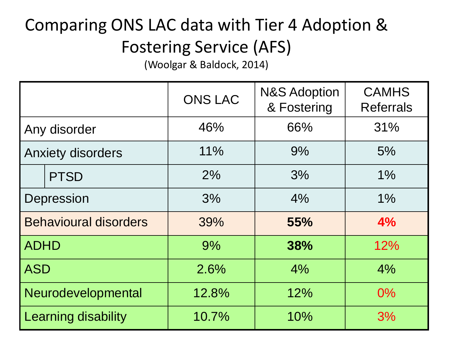#### Comparing ONS LAC data with Tier 4 Adoption & Fostering Service (AFS)

(Woolgar & Baldock, 2014)

|                              |             | <b>ONS LAC</b> | <b>N&amp;S Adoption</b><br>& Fostering | <b>CAMHS</b><br><b>Referrals</b> |
|------------------------------|-------------|----------------|----------------------------------------|----------------------------------|
| Any disorder                 |             | 46%            | 66%                                    | 31%                              |
| <b>Anxiety disorders</b>     |             | 11%            | 9%                                     | 5%                               |
|                              | <b>PTSD</b> | 2%             | 3%                                     | 1%                               |
| Depression                   |             | 3%             | 4%                                     | 1%                               |
| <b>Behavioural disorders</b> |             | 39%            | 55%                                    | 4%                               |
| <b>ADHD</b>                  |             | 9%             | 38%                                    | 12%                              |
| <b>ASD</b>                   |             | 2.6%           | 4%                                     | 4%                               |
| Neurodevelopmental           |             | 12.8%          | 12%                                    | $0\%$                            |
| Learning disability          |             | 10.7%          | 10%                                    | 3%                               |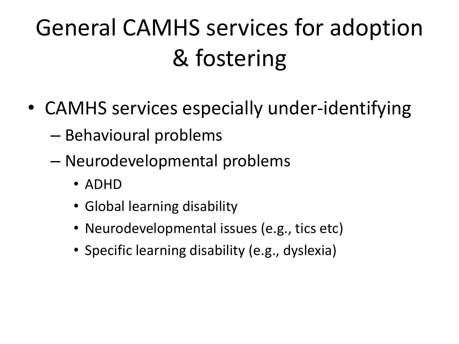## General CAMHS services for adoption & fostering

- CAMHS services especially under-identifying
	- Behavioural problems
	- Neurodevelopmental problems
		- ADHD
		- Global learning disability
		- Neurodevelopmental issues (e.g., tics etc)
		- Specific learning disability (e.g., dyslexia)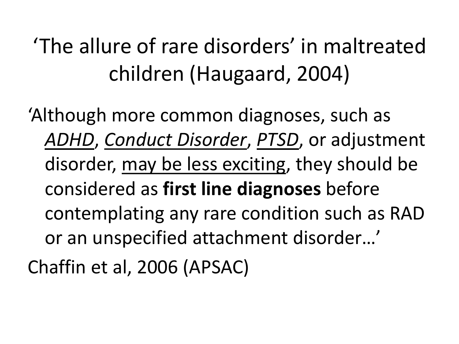'The allure of rare disorders' in maltreated children (Haugaard, 2004)

'Although more common diagnoses, such as *ADHD*, *Conduct Disorder*, *PTSD*, or adjustment disorder, may be less exciting, they should be considered as **first line diagnoses** before contemplating any rare condition such as RAD or an unspecified attachment disorder…' Chaffin et al, 2006 (APSAC)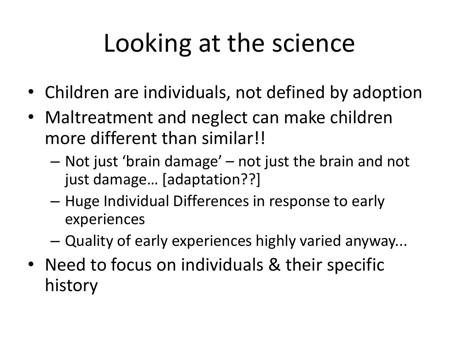# Looking at the science

- Children are individuals, not defined by adoption
- Maltreatment and neglect can make children more different than similar!!
	- Not just 'brain damage' not just the brain and not just damage… [adaptation??]
	- Huge Individual Differences in response to early experiences
	- Quality of early experiences highly varied anyway...
- Need to focus on individuals & their specific history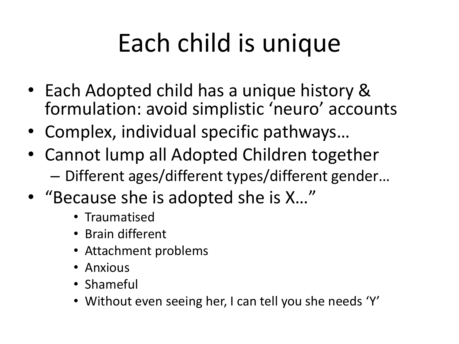# Each child is unique

- Each Adopted child has a unique history & formulation: avoid simplistic 'neuro' accounts
- Complex, individual specific pathways…
- Cannot lump all Adopted Children together – Different ages/different types/different gender…
- "Because she is adopted she is X…"
	- Traumatised
	- Brain different
	- Attachment problems
	- Anxious
	- Shameful
	- Without even seeing her, I can tell you she needs 'Y'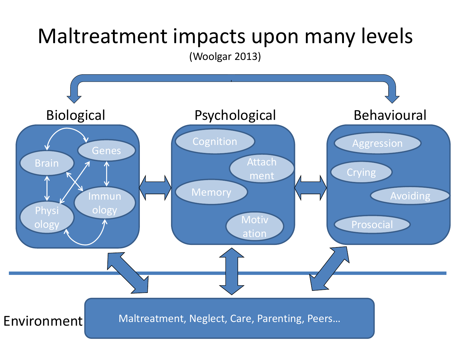#### Maltreatment impacts upon many levels

(Woolgar 2013)

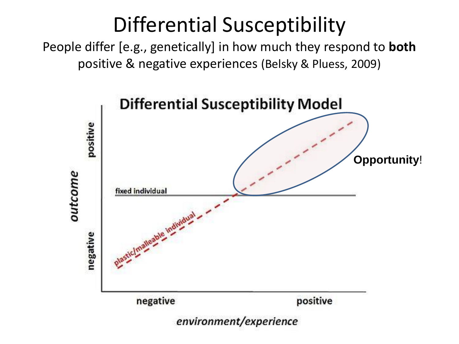#### Differential Susceptibility

People differ [e.g., genetically] in how much they respond to **both**  positive & negative experiences (Belsky & Pluess, 2009)

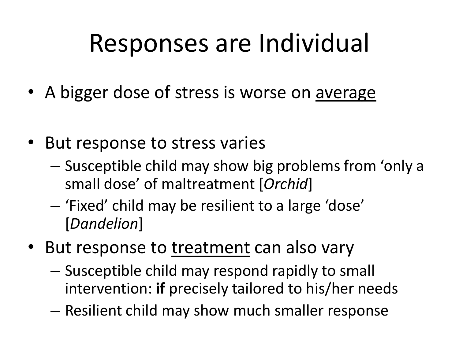## Responses are Individual

- A bigger dose of stress is worse on average
- But response to stress varies
	- Susceptible child may show big problems from 'only a small dose' of maltreatment [*Orchid*]
	- 'Fixed' child may be resilient to a large 'dose' [*Dandelion*]
- But response to treatment can also vary
	- Susceptible child may respond rapidly to small intervention: **if** precisely tailored to his/her needs
	- Resilient child may show much smaller response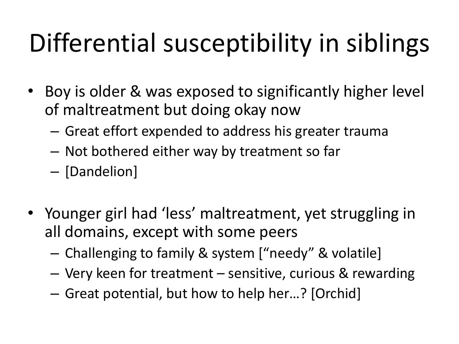# Differential susceptibility in siblings

- Boy is older & was exposed to significantly higher level of maltreatment but doing okay now
	- Great effort expended to address his greater trauma
	- Not bothered either way by treatment so far
	- [Dandelion]
- Younger girl had 'less' maltreatment, yet struggling in all domains, except with some peers
	- Challenging to family & system ["needy" & volatile]
	- Very keen for treatment sensitive, curious & rewarding
	- Great potential, but how to help her…? [Orchid]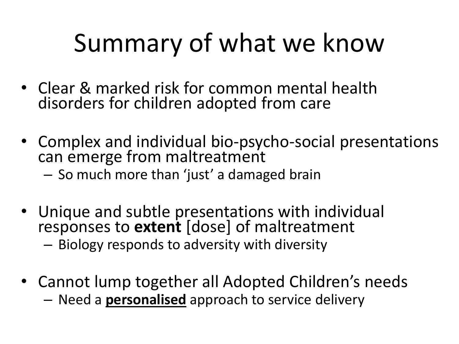# Summary of what we know

- Clear & marked risk for common mental health disorders for children adopted from care
- Complex and individual bio-psycho-social presentations can emerge from maltreatment
	- So much more than 'just' a damaged brain
- Unique and subtle presentations with individual responses to **extent** [dose] of maltreatment – Biology responds to adversity with diversity
- Cannot lump together all Adopted Children's needs – Need a **personalised** approach to service delivery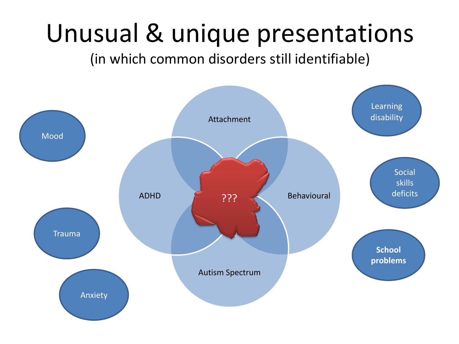## Unusual & unique presentations

#### (in which common disorders still identifiable)

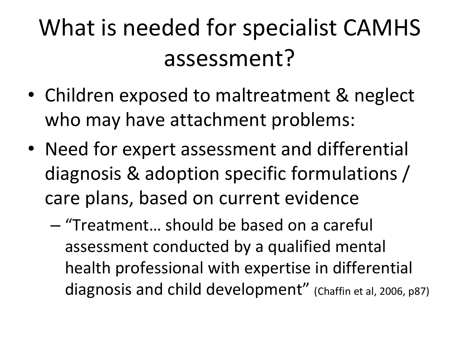### What is needed for specialist CAMHS assessment?

- Children exposed to maltreatment & neglect who may have attachment problems:
- Need for expert assessment and differential diagnosis & adoption specific formulations / care plans, based on current evidence
	- "Treatment… should be based on a careful assessment conducted by a qualified mental health professional with expertise in differential diagnosis and child development" (Chaffin et al, 2006, p87)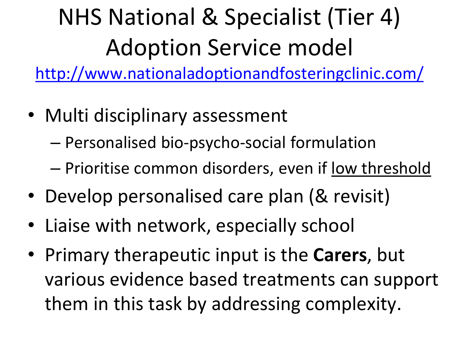# NHS National & Specialist (Tier 4) Adoption Service model

<http://www.nationaladoptionandfosteringclinic.com/>

- Multi disciplinary assessment
	- Personalised bio-psycho-social formulation
	- Prioritise common disorders, even if low threshold
- Develop personalised care plan (& revisit)
- Liaise with network, especially school
- Primary therapeutic input is the **Carers**, but various evidence based treatments can support them in this task by addressing complexity.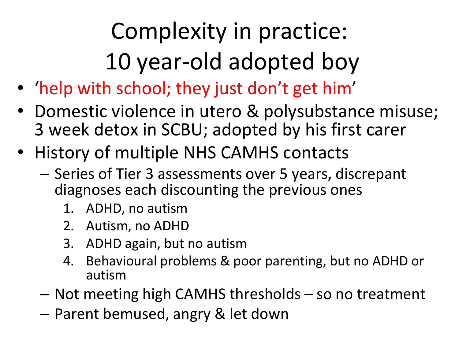## Complexity in practice: 10 year-old adopted boy

- 'help with school; they just don't get him'
- Domestic violence in utero & polysubstance misuse; 3 week detox in SCBU; adopted by his first carer
- History of multiple NHS CAMHS contacts
	- Series of Tier 3 assessments over 5 years, discrepant diagnoses each discounting the previous ones
		- 1. ADHD, no autism
		- 2. Autism, no ADHD
		- 3. ADHD again, but no autism
		- 4. Behavioural problems & poor parenting, but no ADHD or autism
	- Not meeting high CAMHS thresholds so no treatment
	- Parent bemused, angry & let down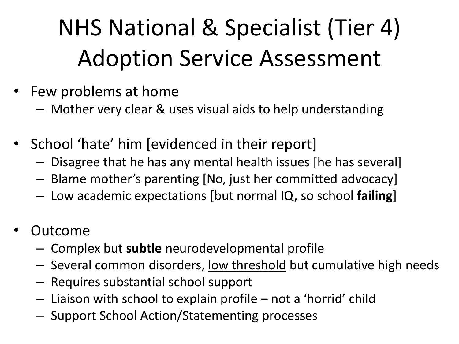## NHS National & Specialist (Tier 4) Adoption Service Assessment

- Few problems at home
	- Mother very clear & uses visual aids to help understanding
- School 'hate' him [evidenced in their report]
	- Disagree that he has any mental health issues [he has several]
	- Blame mother's parenting [No, just her committed advocacy]
	- Low academic expectations [but normal IQ, so school **failing**]
- **Outcome** 
	- Complex but **subtle** neurodevelopmental profile
	- Several common disorders, low threshold but cumulative high needs
	- Requires substantial school support
	- Liaison with school to explain profile not a 'horrid' child
	- Support School Action/Statementing processes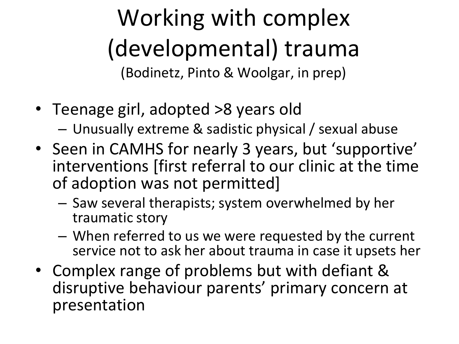Working with complex (developmental) trauma (Bodinetz, Pinto & Woolgar, in prep)

- Teenage girl, adopted >8 years old
	- Unusually extreme & sadistic physical / sexual abuse
- Seen in CAMHS for nearly 3 years, but 'supportive' interventions [first referral to our clinic at the time of adoption was not permitted]
	- Saw several therapists; system overwhelmed by her traumatic story
	- When referred to us we were requested by the current service not to ask her about trauma in case it upsets her
- Complex range of problems but with defiant & disruptive behaviour parents' primary concern at presentation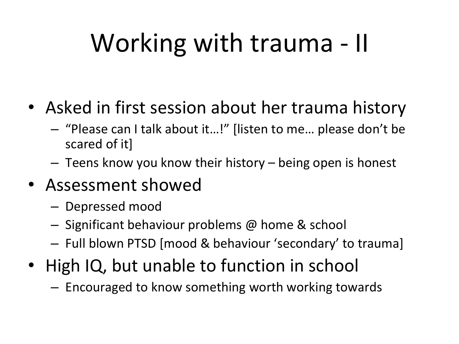# Working with trauma - II

- Asked in first session about her trauma history
	- "Please can I talk about it…!" [listen to me… please don't be scared of it]
	- Teens know you know their history being open is honest
- Assessment showed
	- Depressed mood
	- Significant behaviour problems @ home & school
	- Full blown PTSD [mood & behaviour 'secondary' to trauma]
- High IQ, but unable to function in school
	- Encouraged to know something worth working towards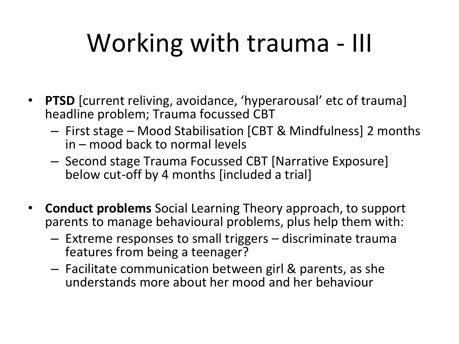# Working with trauma - III

- **PTSD** [current reliving, avoidance, 'hyperarousal' etc of trauma] headline problem; Trauma focussed CBT
	- First stage Mood Stabilisation [CBT & Mindfulness] 2 months in – mood back to normal levels
	- Second stage Trauma Focussed CBT [Narrative Exposure] below cut-off by 4 months [included a trial]
- **Conduct problems** Social Learning Theory approach, to support parents to manage behavioural problems, plus help them with:
	- Extreme responses to small triggers discriminate trauma features from being a teenager?
	- Facilitate communication between girl & parents, as she understands more about her mood and her behaviour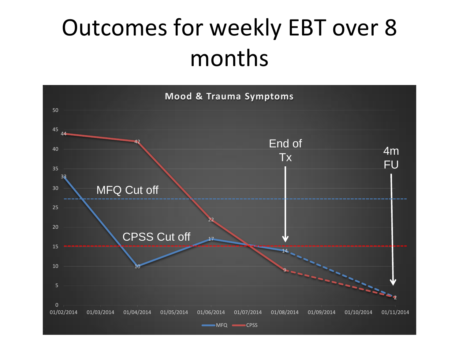#### Outcomes for weekly EBT over 8 months

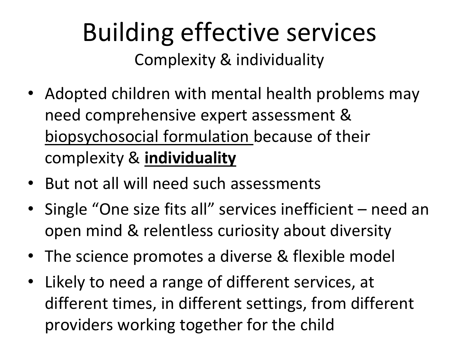#### Building effective services Complexity & individuality

- Adopted children with mental health problems may need comprehensive expert assessment & biopsychosocial formulation because of their complexity & **individuality**
- But not all will need such assessments
- Single "One size fits all" services inefficient need an open mind & relentless curiosity about diversity
- The science promotes a diverse & flexible model
- Likely to need a range of different services, at different times, in different settings, from different providers working together for the child